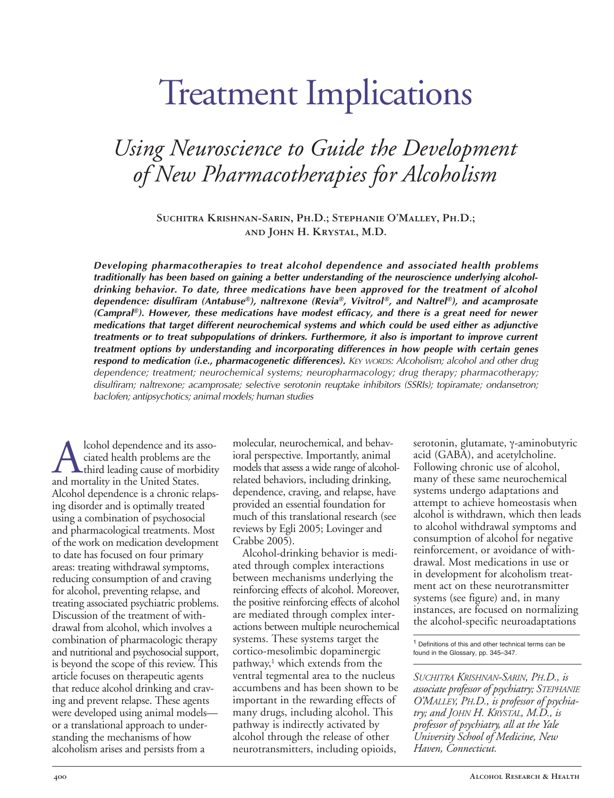# Treatment Implications

# *Using Neuroscience to Guide the Development of New Pharmacotherapies for Alcoholism*

**Suchitra KrishnanSarin, Ph.D.; Stephanie O'Malley, Ph.D.; and John H. Krystal, M.D.**

*Developing pharmacotherapies to treat alcohol dependence and associated health problems traditionally has been based on gaining a better understanding of the neuroscience underlying alcoholdrinking behavior. To date, three medications have been approved for the treatment of alcohol dependence: disulfiram (Antabuse®), naltrexone (Revia®, Vivitrol®, and Naltrel®), and acamprosate (Campral®). However, these medications have modest efficacy, and there is a great need for newer medications that target different neurochemical systems and which could be used either as adjunctive treatments or to treat subpopulations of drinkers. Furthermore, it also is important to improve current treatment options by understanding and incorporating differences in how people with certain genes respond to medication (i.e., pharmacogenetic differences). KEY WORDS: Alcoholism; alcohol and other drug dependence; treatment; neurochemical systems; neuropharmacology; drug therapy; pharmacotherapy; disulfiram; naltrexone; acamprosate; selective serotonin reuptake inhibitors (SSRIs); topiramate; ondansetron; baclofen; antipsychotics; animal models; human studies*

**A** lcohol dependence and its associated health problems are the<br>third leading cause of morbidity<br>and mortality in the United States. ciated health problems are the third leading cause of morbidity and mortality in the United States. Alcohol dependence is a chronic relapsing disorder and is optimally treated using a combination of psychosocial and pharmacological treatments. Most of the work on medication development to date has focused on four primary areas: treating withdrawal symptoms, reducing consumption of and craving for alcohol, preventing relapse, and treating associated psychiatric problems. Discussion of the treatment of withdrawal from alcohol, which involves a combination of pharmacologic therapy and nutritional and psychosocial support, is beyond the scope of this review. This article focuses on therapeutic agents that reduce alcohol drinking and craving and prevent relapse. These agents were developed using animal models or a translational approach to understanding the mechanisms of how alcoholism arises and persists from a

molecular, neurochemical, and behavioral perspective. Importantly, animal models that assess a wide range of alcoholrelated behaviors, including drinking, dependence, craving, and relapse, have provided an essential foundation for much of this translational research (see reviews by Egli 2005; Lovinger and Crabbe 2005).

Alcohol-drinking behavior is mediated through complex interactions between mechanisms underlying the reinforcing effects of alcohol. Moreover, the positive reinforcing effects of alcohol are mediated through complex interactions between multiple neurochemical systems. These systems target the cortico-mesolimbic dopaminergic pathway,<sup>1</sup> which extends from the ventral tegmental area to the nucleus accumbens and has been shown to be important in the rewarding effects of many drugs, including alcohol. This pathway is indirectly activated by alcohol through the release of other neurotransmitters, including opioids, 

serotonin, glutamate, γ-aminobutyric acid (GABA), and acetylcholine. Following chronic use of alcohol, many of these same neurochemical systems undergo adaptations and attempt to achieve homeostasis when alcohol is withdrawn, which then leads to alcohol withdrawal symptoms and consumption of alcohol for negative reinforcement, or avoidance of withdrawal. Most medications in use or in development for alcoholism treatment act on these neurotransmitter systems (see figure) and, in many instances, are focused on normalizing the alcohol-specific neuroadaptations

<sup>1</sup> Definitions of this and other technical terms can be found in the Glossary, pp. 345–347.

*SUCHITRA KRISHNANSARIN, PH.D., is associate professor of psychiatry; STEPHANIE O'MALLEY, PH.D., is professor of psychiatry; and JOHN H. KRYSTAL, M.D., is professor of psychiatry, all at the Yale University School of Medicine, New Haven, Connecticut.*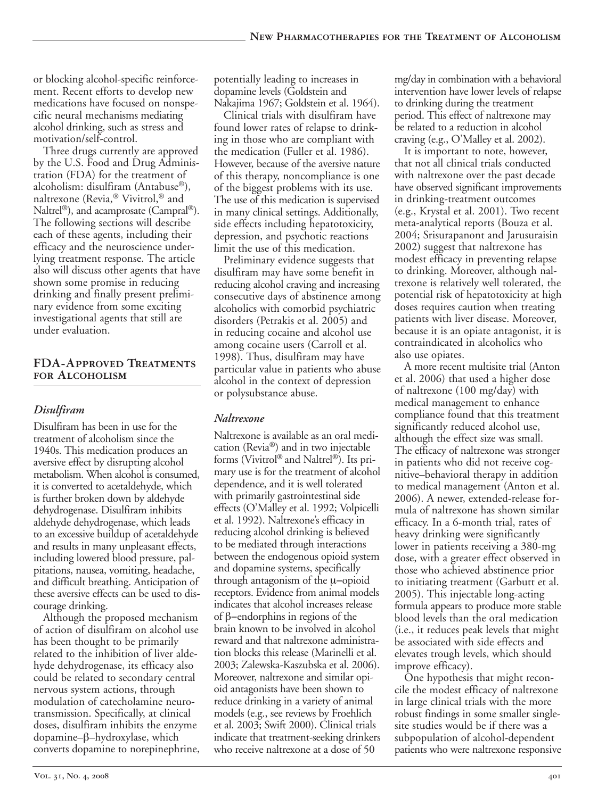or blocking alcohol-specific reinforcement. Recent efforts to develop new medications have focused on nonspecific neural mechanisms mediating alcohol drinking, such as stress and motivation/self-control.

Three drugs currently are approved by the U.S. Food and Drug Administration (FDA) for the treatment of alcoholism: disulfiram (Antabuse®), naltrexone (Revia,® Vivitrol,® and Naltrel®), and acamprosate (Campral®). The following sections will describe each of these agents, including their efficacy and the neuroscience underlying treatment response. The article also will discuss other agents that have shown some promise in reducing drinking and finally present preliminary evidence from some exciting investigational agents that still are under evaluation.

#### **FDA-APPROVED TREATMENTS for Alcoholism**

### *Disulfiram*

Disulfiram has been in use for the treatment of alcoholism since the 1940s. This medication produces an aversive effect by disrupting alcohol metabolism. When alcohol is consumed, it is converted to acetaldehyde, which is further broken down by aldehyde dehydrogenase. Disulfiram inhibits aldehyde dehydrogenase, which leads to an excessive buildup of acetaldehyde and results in many unpleasant effects, including lowered blood pressure, palpitations, nausea, vomiting, headache, and difficult breathing. Anticipation of these aversive effects can be used to discourage drinking.

Although the proposed mechanism of action of disulfiram on alcohol use has been thought to be primarily related to the inhibition of liver aldehyde dehydrogenase, its efficacy also could be related to secondary central nervous system actions, through modulation of catecholamine neurotransmission. Specifically, at clinical doses, disulfiram inhibits the enzyme dopamine–β–hydroxylase, which converts dopamine to norepinephrine,

potentially leading to increases in dopamine levels (Goldstein and Nakajima 1967; Goldstein et al. 1964).

Clinical trials with disulfiram have found lower rates of relapse to drinking in those who are compliant with the medication (Fuller et al. 1986). However, because of the aversive nature of this therapy, noncompliance is one of the biggest problems with its use. The use of this medication is supervised in many clinical settings. Additionally, side effects including hepatotoxicity, depression, and psychotic reactions limit the use of this medication.

Preliminary evidence suggests that disulfiram may have some benefit in reducing alcohol craving and increasing consecutive days of abstinence among alcoholics with comorbid psychiatric disorders (Petrakis et al. 2005) and in reducing cocaine and alcohol use among cocaine users (Carroll et al. 1998). Thus, disulfiram may have particular value in patients who abuse alcohol in the context of depression or polysubstance abuse.

#### *Naltrexone*

Naltrexone is available as an oral medication (Revia®) and in two injectable forms (Vivitrol® and Naltrel®). Its primary use is for the treatment of alcohol dependence, and it is well tolerated with primarily gastrointestinal side effects (O'Malley et al. 1992; Volpicelli et al. 1992). Naltrexone's efficacy in reducing alcohol drinking is believed to be mediated through interactions between the endogenous opioid system and dopamine systems, specifically through antagonism of the µ−opioid receptors. Evidence from animal models indicates that alcohol increases release of β−endorphins in regions of the brain known to be involved in alcohol reward and that naltrexone administration blocks this release (Marinelli et al. 2003; Zalewska-Kaszubska et al. 2006). Moreover, naltrexone and similar opioid antagonists have been shown to reduce drinking in a variety of animal models (e.g., see reviews by Froehlich et al. 2003; Swift 2000). Clinical trials indicate that treatment-seeking drinkers who receive naltrexone at a dose of 50

mg/day in combination with a behavioral intervention have lower levels of relapse to drinking during the treatment period. This effect of naltrexone may be related to a reduction in alcohol craving (e.g., O'Malley et al. 2002).

It is important to note, however, that not all clinical trials conducted with naltrexone over the past decade have observed significant improvements in drinking-treatment outcomes (e.g., Krystal et al. 2001). Two recent meta-analytical reports (Bouza et al. 2004; Srisurapanont and Jarusuraisin 2002) suggest that naltrexone has modest efficacy in preventing relapse to drinking. Moreover, although naltrexone is relatively well tolerated, the potential risk of hepatotoxicity at high doses requires caution when treating patients with liver disease. Moreover, because it is an opiate antagonist, it is contraindicated in alcoholics who also use opiates.

A more recent multisite trial (Anton et al. 2006) that used a higher dose of naltrexone (100 mg/day) with medical management to enhance compliance found that this treatment significantly reduced alcohol use, although the effect size was small. The efficacy of naltrexone was stronger in patients who did not receive cognitive–behavioral therapy in addition to medical management (Anton et al. 2006). A newer, extended-release formula of naltrexone has shown similar efficacy. In a 6-month trial, rates of heavy drinking were significantly lower in patients receiving a 380-mg dose, with a greater effect observed in those who achieved abstinence prior to initiating treatment (Garbutt et al. 2005). This injectable long-acting formula appears to produce more stable blood levels than the oral medication (i.e., it reduces peak levels that might be associated with side effects and elevates trough levels, which should improve efficacy).

One hypothesis that might reconcile the modest efficacy of naltrexone in large clinical trials with the more robust findings in some smaller singlesite studies would be if there was a subpopulation of alcohol-dependent patients who were naltrexone responsive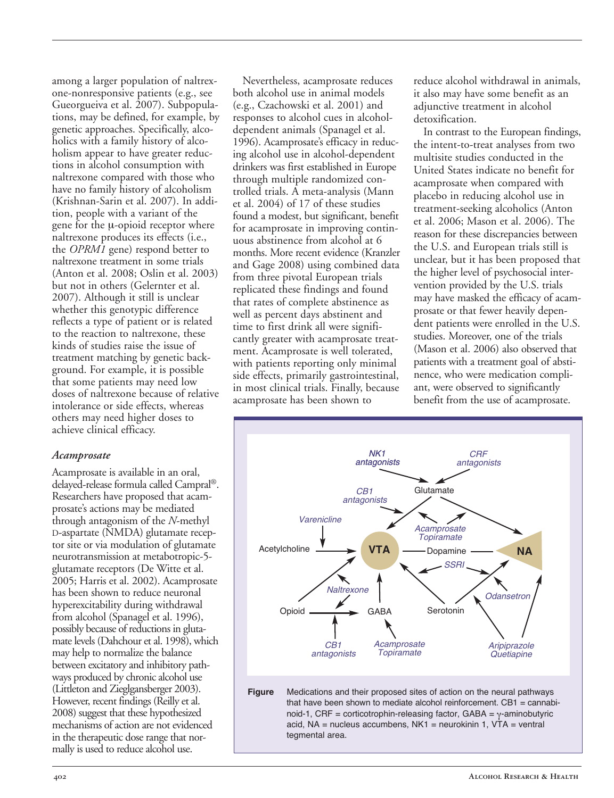among a larger population of naltrexone-nonresponsive patients (e.g., see Gueorgueiva et al. 2007). Subpopulations, may be defined, for example, by genetic approaches. Specifically, alcoholics with a family history of alcoholism appear to have greater reductions in alcohol consumption with naltrexone compared with those who have no family history of alcoholism (Krishnan-Sarin et al. 2007). In addition, people with a variant of the gene for the *µ*-opioid receptor where naltrexone produces its effects (i.e., the *OPRM1* gene) respond better to naltrexone treatment in some trials (Anton et al. 2008; Oslin et al. 2003) but not in others (Gelernter et al. 2007). Although it still is unclear whether this genotypic difference reflects a type of patient or is related to the reaction to naltrexone, these kinds of studies raise the issue of treatment matching by genetic background. For example, it is possible that some patients may need low doses of naltrexone because of relative intolerance or side effects, whereas others may need higher doses to achieve clinical efficacy.

#### *Acamprosate*

Acamprosate is available in an oral, delayed-release formula called Campral®. Researchers have proposed that acamprosate's actions may be mediated through antagonism of the *N*-methyl D-aspartate (NMDA) glutamate receptor site or via modulation of glutamate neurotransmission at metabotropic-5glutamate receptors (De Witte et al. 2005; Harris et al. 2002). Acamprosate has been shown to reduce neuronal hyperexcitability during withdrawal from alcohol (Spanagel et al. 1996), possibly because of reductions in glutamate levels (Dahchour et al. 1998), which may help to normalize the balance between excitatory and inhibitory pathways produced by chronic alcohol use (Littleton and Zieglgansberger 2003). However, recent findings (Reilly et al. 2008) suggest that these hypothesized mechanisms of action are not evidenced in the therapeutic dose range that normally is used to reduce alcohol use.

Nevertheless, acamprosate reduces both alcohol use in animal models (e.g., Czachowski et al. 2001) and responses to alcohol cues in alcoholdependent animals (Spanagel et al. 1996). Acamprosate's efficacy in reducing alcohol use in alcohol-dependent drinkers was first established in Europe through multiple randomized controlled trials. A meta-analysis (Mann et al. 2004) of 17 of these studies found a modest, but significant, benefit for acamprosate in improving continuous abstinence from alcohol at 6 months. More recent evidence (Kranzler and Gage 2008) using combined data from three pivotal European trials replicated these findings and found that rates of complete abstinence as well as percent days abstinent and time to first drink all were significantly greater with acamprosate treatment. Acamprosate is well tolerated, with patients reporting only minimal side effects, primarily gastrointestinal, in most clinical trials. Finally, because acamprosate has been shown to

tegmental area.

reduce alcohol withdrawal in animals, it also may have some benefit as an adjunctive treatment in alcohol detoxification.

In contrast to the European findings, the intent-to-treat analyses from two multisite studies conducted in the United States indicate no benefit for acamprosate when compared with placebo in reducing alcohol use in treatment-seeking alcoholics (Anton et al. 2006; Mason et al. 2006). The reason for these discrepancies between the U.S. and European trials still is unclear, but it has been proposed that the higher level of psychosocial intervention provided by the U.S. trials may have masked the efficacy of acamprosate or that fewer heavily dependent patients were enrolled in the U.S. studies. Moreover, one of the trials (Mason et al. 2006) also observed that patients with a treatment goal of abstinence, who were medication compliant, were observed to significantly benefit from the use of acamprosate.

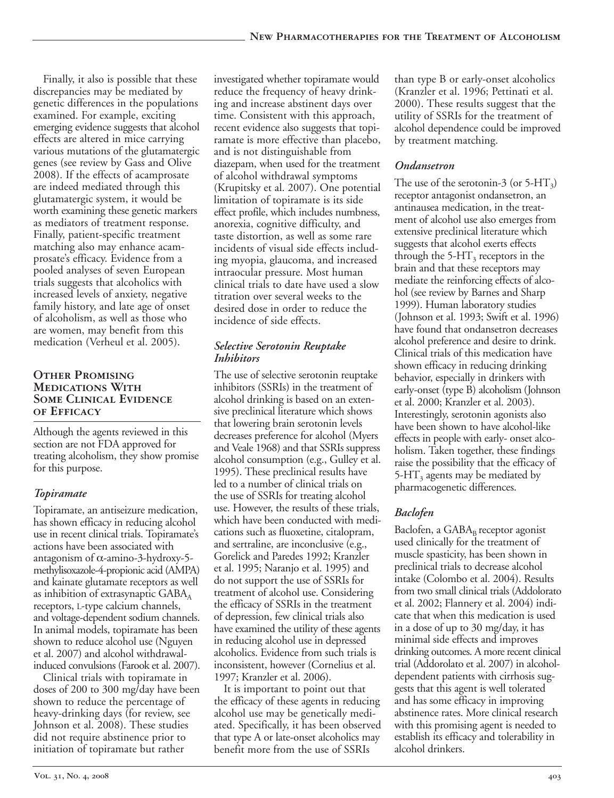Finally, it also is possible that these discrepancies may be mediated by genetic differences in the populations examined. For example, exciting emerging evidence suggests that alcohol effects are altered in mice carrying various mutations of the glutamatergic genes (see review by Gass and Olive 2008). If the effects of acamprosate are indeed mediated through this glutamatergic system, it would be worth examining these genetic markers as mediators of treatment response. Finally, patient-specific treatment matching also may enhance acamprosate's efficacy. Evidence from a pooled analyses of seven European trials suggests that alcoholics with increased levels of anxiety, negative family history, and late age of onset of alcoholism, as well as those who are women, may benefit from this medication (Verheul et al. 2005).

### **Other Promising Medications With Some Clinical Evidence of Efficacy**

Although the agents reviewed in this section are not FDA approved for treating alcoholism, they show promise for this purpose.

# *Topiramate*

Topiramate, an antiseizure medication, has shown efficacy in reducing alcohol use in recent clinical trials. Topiramate's actions have been associated with antagonism of  $\alpha$ -amino-3-hydroxy-5methylisoxazole-4-propionic acid (AMPA) and kainate glutamate receptors as well as inhibition of extrasynaptic  $GABA_A$ receptors, L-type calcium channels, and voltage-dependent sodium channels. In animal models, topiramate has been shown to reduce alcohol use (Nguyen et al. 2007) and alcohol withdrawalinduced convulsions (Farook et al. 2007).

Clinical trials with topiramate in doses of 200 to 300 mg/day have been shown to reduce the percentage of heavy-drinking days (for review, see Johnson et al. 2008). These studies did not require abstinence prior to initiation of topiramate but rather

investigated whether topiramate would reduce the frequency of heavy drinking and increase abstinent days over time. Consistent with this approach, recent evidence also suggests that topiramate is more effective than placebo, and is not distinguishable from diazepam, when used for the treatment of alcohol withdrawal symptoms (Krupitsky et al. 2007). One potential limitation of topiramate is its side effect profile, which includes numbness, anorexia, cognitive difficulty, and taste distortion, as well as some rare incidents of visual side effects including myopia, glaucoma, and increased intraocular pressure. Most human clinical trials to date have used a slow titration over several weeks to the desired dose in order to reduce the incidence of side effects.

# *Selective Serotonin Reuptake Inhibitors*

The use of selective serotonin reuptake inhibitors (SSRIs) in the treatment of alcohol drinking is based on an extensive preclinical literature which shows that lowering brain serotonin levels decreases preference for alcohol (Myers and Veale 1968) and that SSRIs suppress alcohol consumption (e.g., Gulley et al. 1995). These preclinical results have led to a number of clinical trials on the use of SSRIs for treating alcohol use. However, the results of these trials, which have been conducted with medications such as fluoxetine, citalopram, and sertraline, are inconclusive (e.g., Gorelick and Paredes 1992; Kranzler et al. 1995; Naranjo et al. 1995) and do not support the use of SSRIs for treatment of alcohol use. Considering the efficacy of SSRIs in the treatment of depression, few clinical trials also have examined the utility of these agents in reducing alcohol use in depressed alcoholics. Evidence from such trials is inconsistent, however (Cornelius et al. 1997; Kranzler et al. 2006).

It is important to point out that the efficacy of these agents in reducing alcohol use may be genetically mediated. Specifically, it has been observed that type A or late-onset alcoholics may benefit more from the use of SSRIs

than type B or early-onset alcoholics (Kranzler et al. 1996; Pettinati et al. 2000). These results suggest that the utility of SSRIs for the treatment of alcohol dependence could be improved by treatment matching.

# *Ondansetron*

The use of the serotonin-3 (or  $5-HT_3$ ) receptor antagonist ondansetron, an antinausea medication, in the treatment of alcohol use also emerges from extensive preclinical literature which suggests that alcohol exerts effects through the  $5-HT_3$  receptors in the brain and that these receptors may mediate the reinforcing effects of alcohol (see review by Barnes and Sharp 1999). Human laboratory studies (Johnson et al. 1993; Swift et al. 1996) have found that ondansetron decreases alcohol preference and desire to drink. Clinical trials of this medication have shown efficacy in reducing drinking behavior, especially in drinkers with early-onset (type B) alcoholism (Johnson et al. 2000; Kranzler et al. 2003). Interestingly, serotonin agonists also have been shown to have alcohol-like effects in people with early- onset alcoholism. Taken together, these findings raise the possibility that the efficacy of 5-H $T_3$  agents may be mediated by pharmacogenetic differences.

# *Baclofen*

Baclofen, a  $GABA_B$  receptor agonist used clinically for the treatment of muscle spasticity, has been shown in preclinical trials to decrease alcohol intake (Colombo et al. 2004). Results from two small clinical trials (Addolorato et al. 2002; Flannery et al. 2004) indicate that when this medication is used in a dose of up to 30 mg/day, it has minimal side effects and improves drinking outcomes. A more recent clinical trial (Addorolato et al. 2007) in alcoholdependent patients with cirrhosis suggests that this agent is well tolerated and has some efficacy in improving abstinence rates. More clinical research with this promising agent is needed to establish its efficacy and tolerability in alcohol drinkers.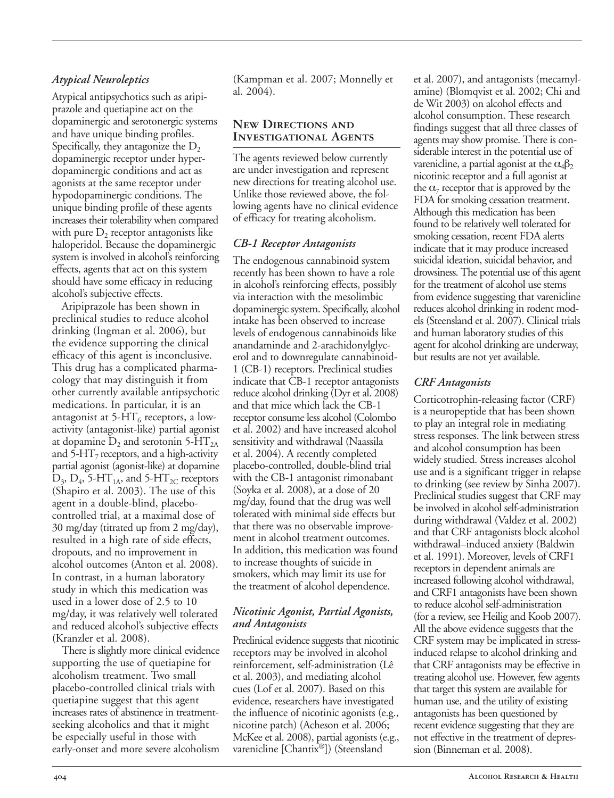# *Atypical Neuroleptics*

Atypical antipsychotics such as aripiprazole and quetiapine act on the dopaminergic and serotonergic systems and have unique binding profiles. Specifically, they antagonize the  $D_2$ dopaminergic receptor under hyperdopaminergic conditions and act as agonists at the same receptor under hypodopaminergic conditions. The unique binding profile of these agents increases their tolerability when compared with pure  $D_2$  receptor antagonists like haloperidol. Because the dopaminergic system is involved in alcohol's reinforcing effects, agents that act on this system should have some efficacy in reducing alcohol's subjective effects.

Aripiprazole has been shown in preclinical studies to reduce alcohol drinking (Ingman et al. 2006), but the evidence supporting the clinical efficacy of this agent is inconclusive. This drug has a complicated pharmacology that may distinguish it from other currently available antipsychotic medications. In particular, it is an antagonist at  $5-HT_6$  receptors, a lowactivity (antagonist-like) partial agonist at dopamine  $D_2$  and serotonin 5-HT<sub>2A</sub> and  $5-\text{HT}_7$  receptors, and a high-activity partial agonist (agonist-like) at dopamine  $D_3$ ,  $D_4$ , 5-HT<sub>1A</sub>, and 5-HT<sub>2C</sub> receptors (Shapiro et al. 2003). The use of this agent in a double-blind, placebocontrolled trial, at a maximal dose of 30 mg/day (titrated up from 2 mg/day), resulted in a high rate of side effects, dropouts, and no improvement in alcohol outcomes (Anton et al. 2008). In contrast, in a human laboratory study in which this medication was used in a lower dose of 2.5 to 10 mg/day, it was relatively well tolerated and reduced alcohol's subjective effects (Kranzler et al. 2008).

There is slightly more clinical evidence supporting the use of quetiapine for alcoholism treatment. Two small placebo-controlled clinical trials with quetiapine suggest that this agent increases rates of abstinence in treatmentseeking alcoholics and that it might be especially useful in those with early-onset and more severe alcoholism (Kampman et al. 2007; Monnelly et al. 2004).

#### **New Directions and Investigational Agents**

The agents reviewed below currently are under investigation and represent new directions for treating alcohol use. Unlike those reviewed above, the following agents have no clinical evidence of efficacy for treating alcoholism.

#### *CB1 Receptor Antagonists*

The endogenous cannabinoid system recently has been shown to have a role in alcohol's reinforcing effects, possibly via interaction with the mesolimbic dopaminergic system. Specifically, alcohol intake has been observed to increase levels of endogenous cannabinoids like anandaminde and 2-arachidonylglycerol and to downregulate cannabinoid-1 (CB-1) receptors. Preclinical studies indicate that CB-1 receptor antagonists reduce alcohol drinking (Dyr et al. 2008) and that mice which lack the CB-1 receptor consume less alcohol (Colombo et al. 2002) and have increased alcohol sensitivity and withdrawal (Naassila et al. 2004). A recently completed placebo-controlled, double-blind trial with the CB-1 antagonist rimonabant (Soyka et al. 2008), at a dose of 20 mg/day, found that the drug was well tolerated with minimal side effects but that there was no observable improvement in alcohol treatment outcomes. In addition, this medication was found to increase thoughts of suicide in smokers, which may limit its use for the treatment of alcohol dependence.

#### *Nicotinic Agonist, Partial Agonists, and Antagonists*

Preclinical evidence suggests that nicotinic receptors may be involved in alcohol reinforcement, self-administration (Lê et al. 2003), and mediating alcohol cues (Lof et al. 2007). Based on this evidence, researchers have investigated the influence of nicotinic agonists (e.g., nicotine patch) (Acheson et al. 2006; McKee et al. 2008), partial agonists (e.g., varenicline [Chantix®]) (Steensland

et al. 2007), and antagonists (mecamylamine) (Blomqvist et al. 2002; Chi and de Wit 2003) on alcohol effects and alcohol consumption. These research findings suggest that all three classes of agents may show promise. There is considerable interest in the potential use of varenicline, a partial agonist at the  $\alpha_4\beta_2$ nicotinic receptor and a full agonist at the  $\alpha_7$  receptor that is approved by the FDA for smoking cessation treatment. Although this medication has been found to be relatively well tolerated for smoking cessation, recent FDA alerts indicate that it may produce increased suicidal ideation, suicidal behavior, and drowsiness. The potential use of this agent for the treatment of alcohol use stems from evidence suggesting that varenicline reduces alcohol drinking in rodent models (Steensland et al. 2007). Clinical trials and human laboratory studies of this agent for alcohol drinking are underway, but results are not yet available.

# *CRF Antagonists*

Corticotrophin-releasing factor (CRF) is a neuropeptide that has been shown to play an integral role in mediating stress responses. The link between stress and alcohol consumption has been widely studied. Stress increases alcohol use and is a significant trigger in relapse to drinking (see review by Sinha 2007). Preclinical studies suggest that CRF may be involved in alcohol self-administration during withdrawal (Valdez et al. 2002) and that CRF antagonists block alcohol withdrawal–induced anxiety (Baldwin et al. 1991). Moreover, levels of CRF1 receptors in dependent animals are increased following alcohol withdrawal, and CRF1 antagonists have been shown to reduce alcohol self-administration (for a review, see Heilig and Koob 2007). All the above evidence suggests that the CRF system may be implicated in stressinduced relapse to alcohol drinking and that CRF antagonists may be effective in treating alcohol use. However, few agents that target this system are available for human use, and the utility of existing antagonists has been questioned by recent evidence suggesting that they are not effective in the treatment of depression (Binneman et al. 2008).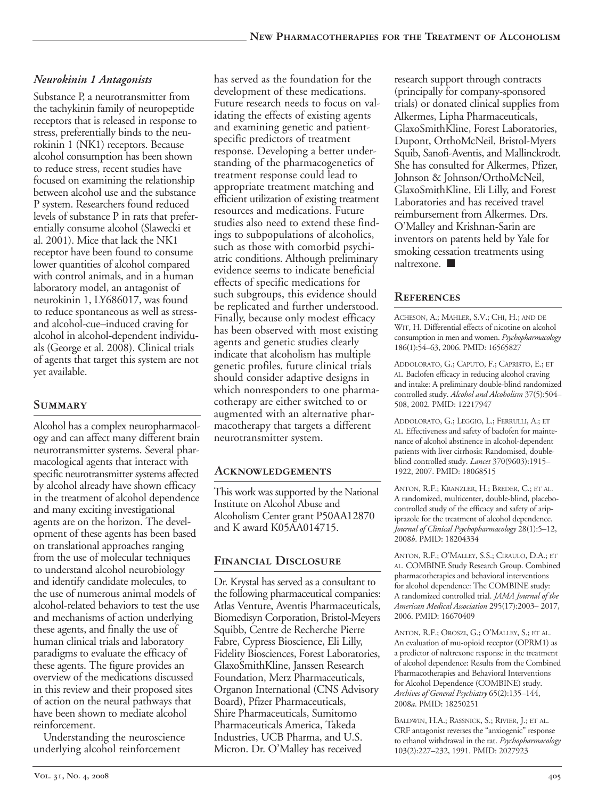# *Neurokinin 1 Antagonists*

Substance P, a neurotransmitter from the tachykinin family of neuropeptide receptors that is released in response to stress, preferentially binds to the neurokinin 1 (NK1) receptors. Because alcohol consumption has been shown to reduce stress, recent studies have focused on examining the relationship between alcohol use and the substance P system. Researchers found reduced levels of substance P in rats that preferentially consume alcohol (Slawecki et al. 2001). Mice that lack the NK1 receptor have been found to consume lower quantities of alcohol compared with control animals, and in a human laboratory model, an antagonist of neurokinin 1, LY686017, was found to reduce spontaneous as well as stressand alcohol-cue–induced craving for alcohol in alcohol-dependent individuals (George et al. 2008). Clinical trials of agents that target this system are not yet available.

# **Summary**

Alcohol has a complex neuropharmacology and can affect many different brain neurotransmitter systems. Several pharmacological agents that interact with specific neurotransmitter systems affected by alcohol already have shown efficacy in the treatment of alcohol dependence and many exciting investigational agents are on the horizon. The development of these agents has been based on translational approaches ranging from the use of molecular techniques to understand alcohol neurobiology and identify candidate molecules, to the use of numerous animal models of alcohol-related behaviors to test the use and mechanisms of action underlying these agents, and finally the use of human clinical trials and laboratory paradigms to evaluate the efficacy of these agents. The figure provides an overview of the medications discussed in this review and their proposed sites of action on the neural pathways that have been shown to mediate alcohol reinforcement.

Understanding the neuroscience underlying alcohol reinforcement

has served as the foundation for the development of these medications. Future research needs to focus on validating the effects of existing agents and examining genetic and patientspecific predictors of treatment response. Developing a better understanding of the pharmacogenetics of treatment response could lead to appropriate treatment matching and efficient utilization of existing treatment resources and medications. Future studies also need to extend these findings to subpopulations of alcoholics, such as those with comorbid psychiatric conditions. Although preliminary evidence seems to indicate beneficial effects of specific medications for such subgroups, this evidence should be replicated and further understood. Finally, because only modest efficacy has been observed with most existing agents and genetic studies clearly indicate that alcoholism has multiple genetic profiles, future clinical trials should consider adaptive designs in which nonresponders to one pharmacotherapy are either switched to or augmented with an alternative pharmacotherapy that targets a different neurotransmitter system.

### **Acknowledgements**

This work was supported by the National Institute on Alcohol Abuse and Alcoholism Center grant P50AA12870 and K award K05AA014715.

### **Financial Disclosure**

Dr. Krystal has served as a consultant to the following pharmaceutical companies: Atlas Venture, Aventis Pharmaceuticals, Biomedisyn Corporation, Bristol-Meyers Squibb, Centre de Recherche Pierre Fabre, Cypress Bioscience, Eli Lilly, Fidelity Biosciences, Forest Laboratories, GlaxoSmithKline, Janssen Research Foundation, Merz Pharmaceuticals, Organon International (CNS Advisory Board), Pfizer Pharmaceuticals, Shire Pharmaceuticals, Sumitomo Pharmaceuticals America, Takeda Industries, UCB Pharma, and U.S. Micron. Dr. O'Malley has received

research support through contracts (principally for company-sponsored trials) or donated clinical supplies from Alkermes, Lipha Pharmaceuticals, GlaxoSmithKline, Forest Laboratories, Dupont, OrthoMcNeil, Bristol-Myers Squib, Sanofi-Aventis, and Mallinckrodt. She has consulted for Alkermes, Pfizer, Johnson & Johnson/OrthoMcNeil, GlaxoSmithKline, Eli Lilly, and Forest Laboratories and has received travel reimbursement from Alkermes. Drs. O'Malley and Krishnan-Sarin are inventors on patents held by Yale for smoking cessation treatments using naltrexone. ■

# **References**

ACHESON, A.; MAHLER, S.V.; CHI, H.; AND DE WIT, H. Differential effects of nicotine on alcohol consumption in men and women. *Psychopharmacology* 186(1):54–63, 2006. PMID: 16565827

ADDOLORATO, G.; CAPUTO, F.; CAPRISTO, E.; ET AL. Baclofen efficacy in reducing alcohol craving and intake: A preliminary double-blind randomized controlled study. *Alcohol and Alcoholism* 37(5):504– 508, 2002. PMID: 12217947

ADDOLORATO, G.; LEGGIO, L.; FERRULLI, A.; ET AL. Effectiveness and safety of baclofen for maintenance of alcohol abstinence in alcohol-dependent patients with liver cirrhosis: Randomised, doubleblind controlled study. *Lancet* 370(9603):1915– 1922, 2007. PMID: 18068515

ANTON, R.F.; KRANZLER, H.; BREDER, C.; ET AL. A randomized, multicenter, double-blind, placebocontrolled study of the efficacy and safety of aripiprazole for the treatment of alcohol dependence. *Journal of Clinical Psychopharmacology* 28(1):5–12, 2008*b*. PMID: 18204334

ANTON, R.F.; O'MALLEY, S.S.; CIRAULO, D.A.; ET AL. COMBINE Study Research Group. Combined pharmacotherapies and behavioral interventions for alcohol dependence: The COMBINE study: A randomized controlled trial. *JAMA Journal of the American Medical Association* 295(17):2003– 2017, 2006. PMID: 16670409

ANTON, R.F.; OROSZI, G.; O'MALLEY, S.; ET AL. An evaluation of mu-opioid receptor (OPRM1) as a predictor of naltrexone response in the treatment of alcohol dependence: Results from the Combined Pharmacotherapies and Behavioral Interventions for Alcohol Dependence (COMBINE) study. *Archives of General Psychiatry* 65(2):135–144, 2008*a*. PMID: 18250251

BALDWIN, H.A.; RASSNICK, S.; RIVIER, J.; ET AL. CRF antagonist reverses the "anxiogenic" response to ethanol withdrawal in the rat. *Psychopharmacology* 103(2):227–232, 1991. PMID: 2027923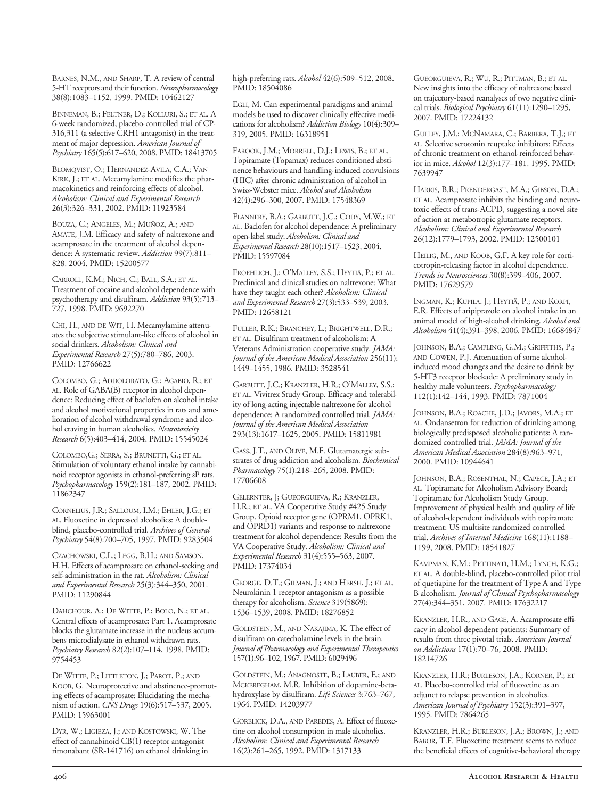BARNES, N.M., AND SHARP, T. A review of central 5HT receptors and their function. *Neuropharmacology* 38(8):1083–1152, 1999. PMID: 10462127

BINNEMAN, B.; FELTNER, D.; KOLLURI, S.; ET AL. A 6-week randomized, placebo-controlled trial of CP-316,311 (a selective CRH1 antagonist) in the treatment of major depression. *American Journal of Psychiatry* 165(5):617–620, 2008. PMID: 18413705

BLOMQVIST, O.; HERNANDEZ-AVILA, C.A.; VAN KIRK, J.; ET AL. Mecamylamine modifies the pharmacokinetics and reinforcing effects of alcohol. *Alcoholism: Clinical and Experimental Research* 26(3):326–331, 2002. PMID: 11923584

BOUZA, C.; ANGELES, M.; MUÑOZ, A.; AND AMATE, J.M. Efficacy and safety of naltrexone and acamprosate in the treatment of alcohol dependence: A systematic review. *Addiction* 99(7):811– 828, 2004. PMID: 15200577

CARROLL, K.M.; NICH, C.; BALL, S.A.; ET AL. Treatment of cocaine and alcohol dependence with psychotherapy and disulfiram. *Addiction* 93(5):713– 727, 1998. PMID: 9692270

CHI, H., AND DE WIT, H. Mecamylamine attenuates the subjective stimulant-like effects of alcohol in social drinkers. *Alcoholism: Clinical and Experimental Research* 27(5):780–786, 2003. PMID: 12766622

COLOMBO, G.; ADDOLORATO, G.; AGABIO, R.; ET AL. Role of GABA(B) receptor in alcohol dependence: Reducing effect of baclofen on alcohol intake and alcohol motivational properties in rats and amelioration of alcohol withdrawal syndrome and alcohol craving in human alcoholics. *Neurotoxicity Research* 6(5):403–414, 2004. PMID: 15545024

COLOMBO,G.; SERRA, S.; BRUNETTI, G.; ET AL. Stimulation of voluntary ethanol intake by cannabinoid receptor agonists in ethanol-preferring sP rats. *Psychopharmacology* 159(2):181–187, 2002. PMID: 11862347

CORNELIUS, J.R.; SALLOUM, I.M.; EHLER, J.G.; ET AL. Fluoxetine in depressed alcoholics: A doubleblind, placebo-controlled trial. Archives of General *Psychiatry* 54(8):700–705, 1997. PMID: 9283504

CZACHOWSKI, C.L.; LEGG, B.H.; AND SAMSON, H.H. Effects of acamprosate on ethanol-seeking and self-administration in the rat. *Alcoholism: Clinical and Experimental Research* 25(3):344–350, 2001. PMID: 11290844

DAHCHOUR, A.; DE WITTE, P.; BOLO, N.; ET AL. Central effects of acamprosate: Part 1. Acamprosate blocks the glutamate increase in the nucleus accumbens microdialysate in ethanol withdrawn rats. *Psychiatry Research* 82(2):107–114, 1998. PMID: 9754453

DE WITTE, P.; LITTLETON, J.; PAROT, P.; AND KOOB, G. Neuroprotective and abstinence-promoting effects of acamprosate: Elucidating the mechanism of action. *CNS Drugs* 19(6):517–537, 2005. PMID: 15963001

DYR, W.; LIGIEZA, J.; AND KOSTOWSKI, W. The effect of cannabinoid CB(1) receptor antagonist rimonabant (SR-141716) on ethanol drinking in high-preferring rats. *Alcohol* 42(6):509-512, 2008. PMID: 18504086

EGLI, M. Can experimental paradigms and animal models be used to discover clinically effective medications for alcoholism? *Addiction Biology* 10(4):309– 319, 2005. PMID: 16318951

FAROOK, J.M.; MORRELL, D.J.; LEWIS, B.; ET AL. Topiramate (Topamax) reduces conditioned abstinence behaviours and handling-induced convulsions (HIC) after chronic administration of alcohol in Swiss-Webster mice. *Alcohol and Alcoholism* 42(4):296–300, 2007. PMID: 17548369

FLANNERY, B.A.; GARBUTT, J.C.; CODY, M.W.; ET AL. Baclofen for alcohol dependence: A preliminary openlabel study. *Alcoholism: Clinical and Experimental Research* 28(10):1517–1523, 2004. PMID: 15597084

FROEHLICH, J.; O'MALLEY, S.S.; HYYTIÄ, P.; ET AL. Preclinical and clinical studies on naltrexone: What have they taught each other? *Alcoholism: Clinical and Experimental Research* 27(3):533–539, 2003. PMID: 12658121

FULLER, R.K.; BRANCHEY, L.; BRIGHTWELL, D.R.; ET AL. Disulfiram treatment of alcoholism: A Veterans Administration cooperative study. *JAMA: Journal of the American Medical Association* 256(11): 1449–1455, 1986. PMID: 3528541

GARBUTT, J.C.; KRANZLER, H.R.; O'MALLEY, S.S.; ET AL. Vivitrex Study Group. Efficacy and tolerability of long-acting injectable naltrexone for alcohol dependence: A randomized controlled trial. *JAMA: Journal of the American Medical Association* 293(13):1617–1625, 2005. PMID: 15811981

GASS, J.T., AND OLIVE, M.F. Glutamatergic substrates of drug addiction and alcoholism. *Biochemical Pharmacology* 75(1):218–265, 2008. PMID: 17706608

GELERNTER, J; GUEORGUIEVA, R.; KRANZLER, H.R.; ET AL. VA Cooperative Study #425 Study Group. Opioid receptor gene (OPRM1, OPRK1, and OPRD1) variants and response to naltrexone treatment for alcohol dependence: Results from the VA Cooperative Study. *Alcoholism: Clinical and Experimental Research* 31(4):555–563, 2007. PMID: 17374034

GEORGE, D.T.; GILMAN, J.; AND HERSH, J.; ET AL. Neurokinin 1 receptor antagonism as a possible therapy for alcoholism. *Science* 319(5869): 1536–1539, 2008. PMID: 18276852

GOLDSTEIN, M., AND NAKAJIMA, K. The effect of disulfiram on catecholamine levels in the brain. *Journal of Pharmacology and Experimental Therapeutics* 157(1):96–102, 1967. PMID: 6029496

GOLDSTEIN, M.; ANAGNOSTE, B.; LAUBER, E.; AND MCKEREGHAM, M.R. Inhibition of dopamine-betahydroxylase by disulfiram. *Life Sciences* 3:763–767, 1964. PMID: 14203977

GORELICK, D.A., AND PAREDES, A. Effect of fluoxetine on alcohol consumption in male alcoholics. *Alcoholism: Clinical and Experimental Research* 16(2):261–265, 1992. PMID: 1317133

GUEORGUIEVA, R.; WU, R.; PITTMAN, B.; ET AL. New insights into the efficacy of naltrexone based on trajectory-based reanalyses of two negative clinical trials. *Biological Psychiatry* 61(11):1290–1295, 2007. PMID: 17224132

GULLEY, J.M.; MCNAMARA, C.; BARBERA, T.J.; ET AL. Selective serotonin reuptake inhibitors: Effects of chronic treatment on ethanol-reinforced behavior in mice. *Alcohol* 12(3):177–181, 1995. PMID: 7639947

HARRIS, B.R.; PRENDERGAST, M.A.; GIBSON, D.A.; ET AL. Acamprosate inhibits the binding and neurotoxic effects of trans-ACPD, suggesting a novel site of action at metabotropic glutamate receptors. *Alcoholism: Clinical and Experimental Research* 26(12):1779–1793, 2002. PMID: 12500101

HEILIG, M., AND KOOB, G.F. A key role for corticotropin-releasing factor in alcohol dependence. *Trends in Neurosciences* 30(8):399–406, 2007. PMID: 17629579

INGMAN, K.; KUPILA. J.; HYYTIÄ, P.; AND KORPI, E.R. Effects of aripiprazole on alcohol intake in an animal model of high-alcohol drinking. Alcohol and *Alcoholism* 41(4):391–398, 2006. PMID: 16684847

JOHNSON, B.A.; CAMPLING, G.M.; GRIFFITHS, P.; AND COWEN, P.J. Attenuation of some alcoholinduced mood changes and the desire to drink by 5HT3 receptor blockade: A preliminary study in healthy male volunteers. *Psychopharmacology* 112(1):142–144, 1993. PMID: 7871004

JOHNSON, B.A.; ROACHE, J.D.; JAVORS, M.A.; ET AL. Ondansetron for reduction of drinking among biologically predisposed alcoholic patients: A randomized controlled trial. *JAMA: Journal of the American Medical Association* 284(8):963–971, 2000. PMID: 10944641

JOHNSON, B.A.; ROSENTHAL, N.; CAPECE, J.A.; ET AL. Topiramate for Alcoholism Advisory Board; Topiramate for Alcoholism Study Group. Improvement of physical health and quality of life of alcohol-dependent individuals with topiramate treatment: US multisite randomized controlled trial. *Archives of Internal Medicine* 168(11):1188– 1199, 2008. PMID: 18541827

KAMPMAN, K.M.; PETTINATI, H.M.; LYNCH, K.G.; ET AL. A double-blind, placebo-controlled pilot trial of quetiapine for the treatment of Type A and Type B alcoholism. *Journal of Clinical Psychopharmacology* 27(4):344–351, 2007. PMID: 17632217

KRANZLER, H.R., AND GAGE, A. Acamprosate efficacy in alcohol-dependent patients: Summary of results from three pivotal trials. *American Journal on Addictions* 17(1):70–76, 2008. PMID: 18214726

KRANZLER, H.R.; BURLESON, J.A.; KORNER, P.; ET AL. Placebo-controlled trial of fluoxetine as an adjunct to relapse prevention in alcoholics. *American Journal of Psychiatry* 152(3):391–397, 1995. PMID: 7864265

KRANZLER, H.R.; BURLESON, J.A.; BROWN, J.; AND BABOR, T.F. Fluoxetine treatment seems to reduce the beneficial effects of cognitive-behavioral therapy